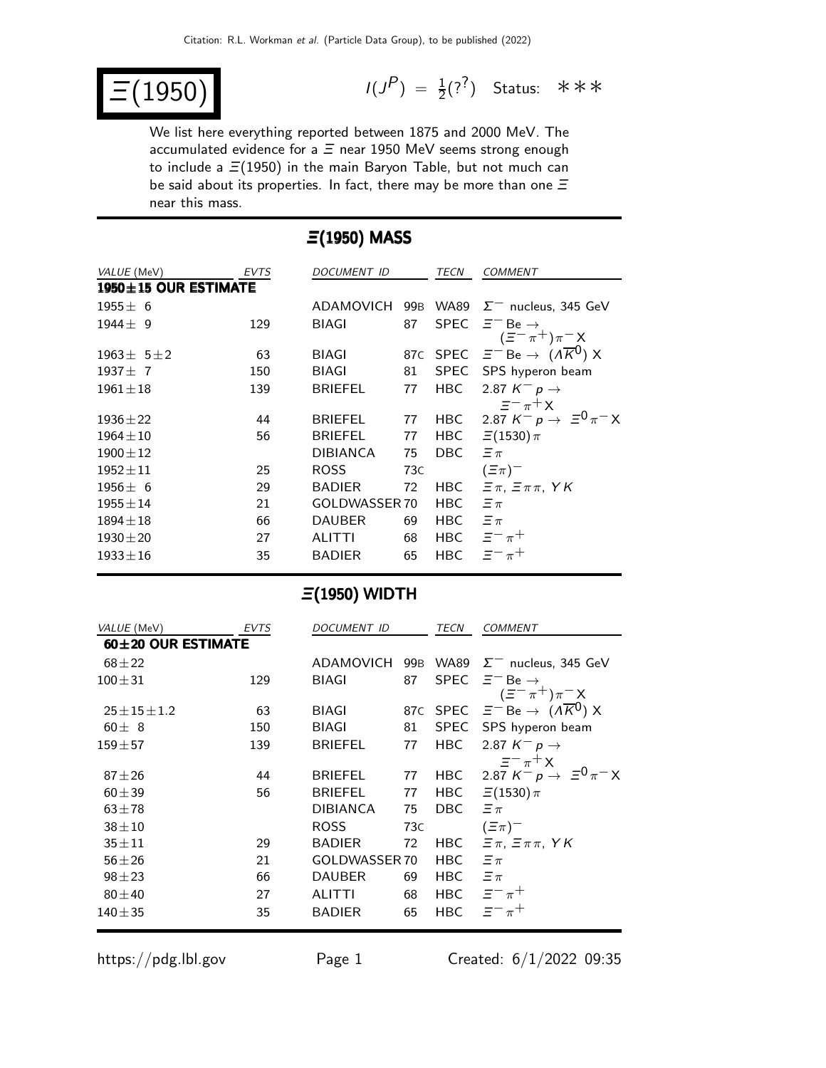$E(1950)$ 

 $(P) = \frac{1}{2}(?^{2})$  Status: \*\*\*

We list here everything reported between 1875 and 2000 MeV. The accumulated evidence for a  $\Xi$  near 1950 MeV seems strong enough to include a  $\Xi(1950)$  in the main Baryon Table, but not much can be said about its properties. In fact, there may be more than one  $\Xi$ near this mass.

| $\Xi(1950)$ MASS     |             |                 |     |             |                                                         |  |
|----------------------|-------------|-----------------|-----|-------------|---------------------------------------------------------|--|
| VALUE (MeV)          | <b>EVTS</b> | DOCUMENT ID     |     | <b>TECN</b> | <b>COMMENT</b>                                          |  |
| 1950±15 OUR ESTIMATE |             |                 |     |             |                                                         |  |
| $1955 \pm 6$         |             | ADAMOVICH       | 99B |             | WA89 $\Sigma^-$ nucleus, 345 GeV                        |  |
| $1944 \pm 9$         | 129         | <b>BIAGI</b>    | 87  | <b>SPEC</b> | $\Xi^-$ Be $\rightarrow$<br>$(\bar{z}^- \pi^+) \pi^- X$ |  |
| $1963 \pm 51 \pm 2$  | 63          | <b>BIAGI</b>    |     |             | 87c SPEC $\Xi^-$ Be $\rightarrow$ $(A\overline{K}^0)$ X |  |
| $1937 \pm 7$         | 150         | <b>BIAGI</b>    | 81  |             | SPEC SPS hyperon beam                                   |  |
| $1961 \pm 18$        | 139         | <b>BRIEFEL</b>  | 77  | <b>HBC</b>  | 2.87 $K^- p \rightarrow$                                |  |
|                      |             |                 |     |             | $\equiv$ $-\pi$ <sup>+</sup> $\times$                   |  |
| $1936 \pm 22$        | 44          | <b>BRIEFEL</b>  | 77  | HBC         | 2.87 $K^- p \to \equiv^0 \pi^- X$                       |  |
| $1964 \pm 10$        | 56          | <b>BRIEFEL</b>  | 77  |             | HBC $\equiv$ (1530) $\pi$                               |  |
| $1900 \pm 12$        |             | <b>DIBIANCA</b> | 75  | DBC.        | $\Xi \pi$                                               |  |
| $1952 \pm 11$        | 25          | <b>ROSS</b>     | 73C |             | $(\Xi \pi)^-$                                           |  |
| $1956 \pm 6$         | 29          | <b>BADIER</b>   | 72  | HBC         | $\Xi \pi$ , $\Xi \pi \pi$ , YK                          |  |
| $1955 \pm 14$        | 21          | GOLDWASSER 70   |     | HBC         | $\Xi \pi$                                               |  |
| $1894 \pm 18$        | 66          | <b>DAUBER</b>   | 69  | HBC         | $\equiv \pi$                                            |  |
| $1930 \pm 20$        | 27          | <b>ALITTI</b>   | 68  |             | HBC $\equiv^{-} \pi^{+}$                                |  |
| $1933 \pm 16$        | 35          | <b>BADIER</b>   | 65  | <b>HBC</b>  | $\equiv$ $-\pi$ +                                       |  |
|                      |             |                 |     |             |                                                         |  |

## $\Xi$ (1950) WIDTH

| VALUE (MeV)             | <b>EVTS</b> | DOCUMENT ID     |     | TECN        | <b>COMMENT</b>                                                       |
|-------------------------|-------------|-----------------|-----|-------------|----------------------------------------------------------------------|
| $60\pm 20$ OUR ESTIMATE |             |                 |     |             |                                                                      |
| $68 + 22$               |             | ADAMOVICH       |     |             | 99B WA89 $\Sigma^-$ nucleus, 345 GeV                                 |
| $100 + 31$              | 129         | BIAGI           | 87  | <b>SPEC</b> | $\Xi^-$ Be $\rightarrow$<br>$(\Xi^{-}\pi^{+})\pi^{-}X$               |
| $25 \pm 15 \pm 1.2$     | 63          | BIAGI           |     |             | 87c SPEC $\overline{z}^{-}$ Be $\rightarrow$ $(A\overline{K}^{0})$ X |
| $60 \pm 8$              | 150         | BIAGI           | 81  |             | SPEC SPS hyperon beam                                                |
| $159 + 57$              | 139         | <b>BRIEFEL</b>  | 77  | <b>HBC</b>  | 2.87 $K^- p \rightarrow$                                             |
|                         |             |                 |     |             | $\equiv$ $-\pi$ <sup>+</sup> $\times$                                |
| $87 + 26$               | 44          | <b>BRIEFEL</b>  | 77  |             | HBC 2.87 $K^- p \to \Xi^0 \pi^- X$                                   |
| $60 + 39$               | 56          | <b>BRIEFEL</b>  | 77  | HBC         | $\Xi(1530)\,\pi$                                                     |
| $63 + 78$               |             | <b>DIBIANCA</b> | 75  | DBC.        | $\equiv \pi$                                                         |
| $38 + 10$               |             | <b>ROSS</b>     | 73C |             | $(\Xi \pi)^-$                                                        |
| $35 + 11$               | 29          | <b>BADIER</b>   | 72  | HBC         | $\equiv \pi, \; \equiv \pi \pi, \; YK$                               |
| $56 + 26$               | 21          | GOLDWASSER 70   |     | <b>HBC</b>  | $\equiv \pi$                                                         |
| $98 + 23$               | 66          | <b>DAUBER</b>   | 69  | HBC         | $\Xi \pi$                                                            |
| $80 \pm 40$             | 27          | <b>ALITTI</b>   | 68  |             | HBC $\equiv^{-} \pi^{+}$                                             |
| $140 + 35$              | 35          | <b>BADIER</b>   | 65  | <b>HBC</b>  | $\equiv$ $-\pi$ <sup>+</sup>                                         |